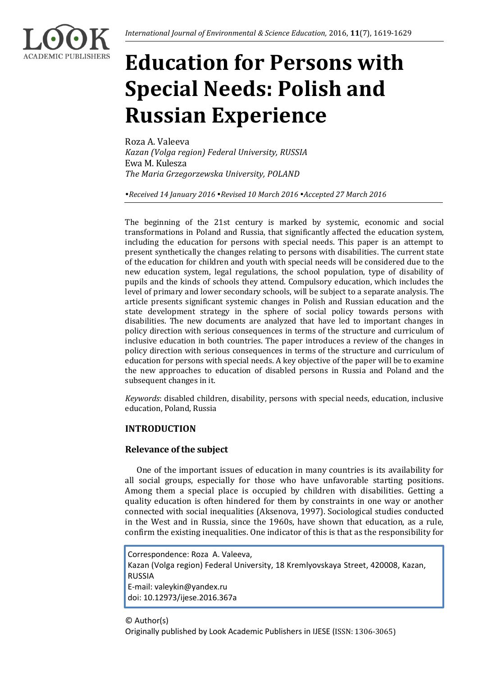

# **Education for Persons with Special Needs: Polish and Russian Experience**

Roza A. Valeeva *Kazan (Volga region) Federal University, RUSSIA* Ewa M. Kulesza *The Maria Grzegorzewska University, POLAND*

*Received 14 January 2016 Revised 10 March 2016 Accepted 27 March 2016*

The beginning of the 21st century is marked by systemic, economic and social transformations in Poland and Russia, that significantly affected the education system, including the education for persons with special needs. This paper is an attempt to present synthetically the changes relating to persons with disabilities. The current state of the education for children and youth with special needs will be considered due to the new education system, legal regulations, the school population, type of disability of pupils and the kinds of schools they attend. Compulsory education, which includes the level of primary and lower secondary schools, will be subject to a separate analysis. The article presents significant systemic changes in Polish and Russian education and the state development strategy in the sphere of social policy towards persons with disabilities. The new documents are analyzed that have led to important changes in policy direction with serious consequences in terms of the structure and curriculum of inclusive education in both countries. The paper introduces a review of the changes in policy direction with serious consequences in terms of the structure and curriculum of education for persons with special needs. A key objective of the paper will be to examine the new approaches to education of disabled persons in Russia and Poland and the subsequent changes in it.

*Keywords*: disabled children, disability, persons with special needs, education, inclusive education, Poland, Russia

# **INTRODUCTION**

# **Relevance of the subject**

One of the important issues of education in many countries is its availability for all social groups, especially for those who have unfavorable starting positions. Among them a special place is occupied by children with disabilities. Getting a quality education is often hindered for them by constraints in one way or another connected with social inequalities (Aksenova, 1997). Sociological studies conducted in the West and in Russia, since the 1960s, have shown that education, as a rule, confirm the existing inequalities. One indicator of this is that as the responsibility for

Correspondence: Roza A. Valeeva, Kazan (Volga region) Federal University, 18 Kremlyovskaya Street, 420008, Kazan, RUSSIA E-mail: valeykin@yandex.ru doi: 10.12973/ijese.2016.367a

# © Author(s) Originally published by Look Academic Publishers in IJESE (ISSN: 1306-3065)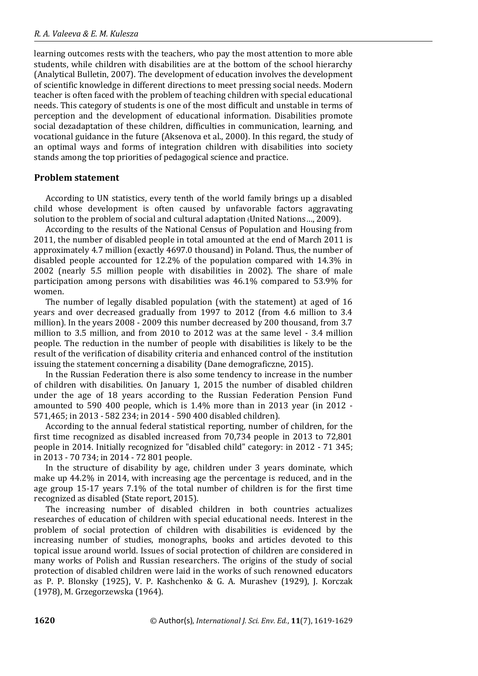learning outcomes rests with the teachers, who pay the most attention to more able students, while children with disabilities are at the bottom of the school hierarchy (Analytical Bulletin, 2007). The development of education involves the development of scientific knowledge in different directions to meet pressing social needs. Modern teacher is often faced with the problem of teaching children with special educational needs. This category of students is one of the most difficult and unstable in terms of perception and the development of educational information. Disabilities promote social dezadaptation of these children, difficulties in communication, learning, and vocational guidance in the future (Aksenova et al., 2000). In this regard, the study of an optimal ways and forms of integration children with disabilities into society stands among the top priorities of pedagogical science and practice.

#### **Problem statement**

According to UN statistics, every tenth of the world family brings up a disabled child whose development is often caused by unfavorable factors aggravating solution to the problem of social and cultural adaptation (United Nations…, 2009).

According to the results of the National Census of Population and Housing from 2011, the number of disabled people in total amounted at the end of March 2011 is approximately 4.7 million (exactly 4697.0 thousand) in Poland. Thus, the number of disabled people accounted for 12.2% of the population compared with 14.3% in 2002 (nearly 5.5 million people with disabilities in 2002). The share of male participation among persons with disabilities was 46.1% compared to 53.9% for women.

The number of legally disabled population (with the statement) at aged of 16 years and over decreased gradually from 1997 to 2012 (from 4.6 million to 3.4 million). In the years 2008 - 2009 this number decreased by 200 thousand, from 3.7 million to 3.5 million, and from 2010 to 2012 was at the same level - 3.4 million people. The reduction in the number of people with disabilities is likely to be the result of the verification of disability criteria and enhanced control of the institution issuing the statement concerning a disability (Dane demograficzne, 2015).

In the Russian Federation there is also some tendency to increase in the number of children with disabilities. On January 1, 2015 the number of disabled children under the age of 18 years according to the Russian Federation Pension Fund amounted to 590 400 people, which is 1.4% more than in 2013 year (in 2012 - 571,465; in 2013 - 582 234; in 2014 - 590 400 disabled children).

According to the annual federal statistical reporting, number of children, for the first time recognized as disabled increased from 70,734 people in 2013 to 72,801 people in 2014. Initially recognized for "disabled child" category: in 2012 - 71 345; in 2013 - 70 734; in 2014 - 72 801 people.

In the structure of disability by age, children under 3 years dominate, which make up 44.2% in 2014, with increasing age the percentage is reduced, and in the age group 15-17 years 7.1% of the total number of children is for the first time recognized as disabled (State report, 2015).

The increasing number of disabled children in both countries actualizes researches of education of children with special educational needs. Interest in the problem of social protection of children with disabilities is evidenced by the increasing number of studies, monographs, books and articles devoted to this topical issue around world. Issues of social protection of children are considered in many works of Polish and Russian researchers. The origins of the study of social protection of disabled children were laid in the works of such renowned educators as P. P. Blonsky (1925), V. P. Kashchenko & G. A. Murashev (1929), J. Korczak (1978), M. Grzegorzewska (1964).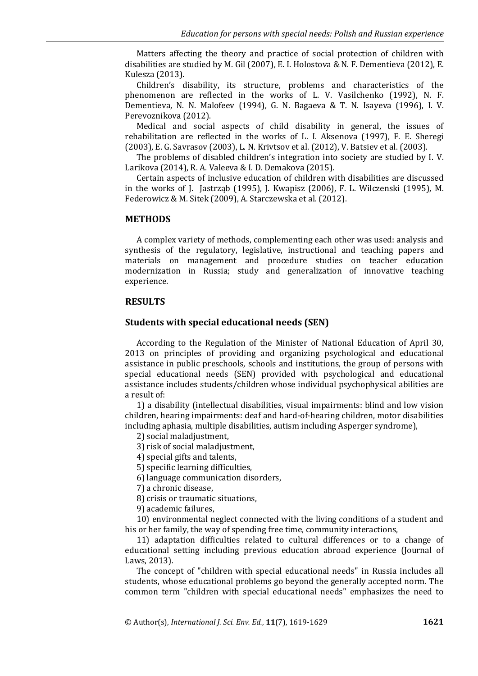Matters affecting the theory and practice of social protection of children with disabilities are studied by M. Gil (2007), E. I. Holostova & N. F. Dementieva (2012), E. Kulesza (2013).

Children's disability, its structure, problems and characteristics of the phenomenon are reflected in the works of L. V. Vasilchenko (1992), N. F. Dementieva, N. N. Malofeev (1994), G. N. Bagaeva & T. N. Isayeva (1996), I. V. Perevoznikova (2012).

Medical and social aspects of child disability in general, the issues of rehabilitation are reflected in the works of L. I. Aksenova (1997), F. E. Sheregi (2003), E. G. Savrasov (2003), L. N. Krivtsov et al. (2012), V. Batsiev et al. (2003).

The problems of disabled children's integration into society are studied by I. V. Larikova (2014), R. A. Valeeva & I. D. Demakova (2015).

Certain aspects of inclusive education of children with disabilities are discussed in the works of J. Jastrząb (1995), J. Kwapisz (2006), F. L. Wilczenski (1995), M. Federowicz & M. Sitek (2009), A. Starczewska et al. (2012).

#### **METHODS**

A complex variety of methods, complementing each other was used: analysis and synthesis of the regulatory, legislative, instructional and teaching papers and materials on management and procedure studies on teacher education modernization in Russia; study and generalization of innovative teaching experience.

#### **RESULTS**

#### **Students with special educational needs (SEN)**

According to the Regulation of the Minister of National Education of April 30, 2013 on principles of providing and organizing psychological and educational assistance in public preschools, schools and institutions, the group of persons with special educational needs (SEN) provided with psychological and educational assistance includes students/children whose individual psychophysical abilities are a result of:

1) a disability (intellectual disabilities, visual impairments: blind and low vision children, hearing impairments: deaf and hard-of-hearing children, motor disabilities including aphasia, multiple disabilities, autism including Asperger syndrome),

2) social maladjustment,

3) risk of social maladjustment,

4) special gifts and talents,

5) specific learning difficulties,

6) language communication disorders,

7) a chronic disease,

8) crisis or traumatic situations,

9) academic failures,

10) environmental neglect connected with the living conditions of a student and his or her family, the way of spending free time, community interactions,

11) adaptation difficulties related to cultural differences or to a change of educational setting including previous education abroad experience (Journal of Laws, 2013).

The concept of "children with special educational needs" in Russia includes all students, whose educational problems go beyond the generally accepted norm. The common term "children with special educational needs" emphasizes the need to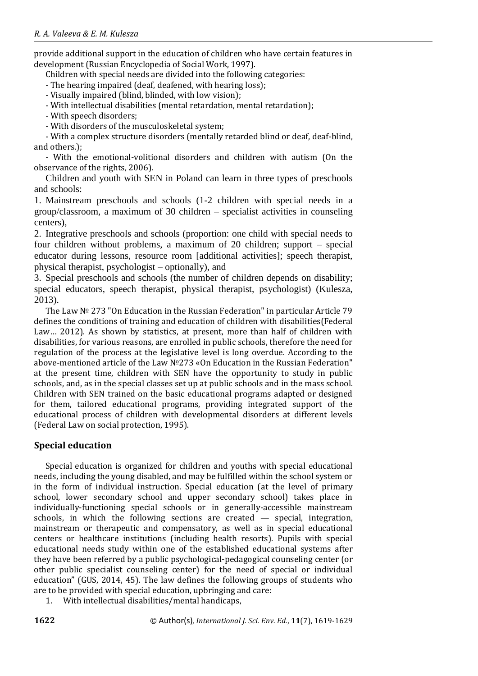provide additional support in the education of children who have certain features in development (Russian Encyclopedia of Social Work, 1997).

Children with special needs are divided into the following categories:

- The hearing impaired (deaf, deafened, with hearing loss);

- Visually impaired (blind, blinded, with low vision);

- With intellectual disabilities (mental retardation, mental retardation);

- With speech disorders;

- With disorders of the musculoskeletal system;

- With a complex structure disorders (mentally retarded blind or deaf, deaf-blind, and others.);

- With the emotional-volitional disorders and children with autism (On the observance of the rights, 2006).

Children and youth with SEN in Poland can learn in three types of preschools and schools:

1. Mainstream preschools and schools (1-2 children with special needs in a group/classroom, a maximum of 30 children – specialist activities in counseling centers),

2. Integrative preschools and schools (proportion: one child with special needs to four children without problems, a maximum of 20 children; support – special educator during lessons, resource room [additional activities]; speech therapist, physical therapist, psychologist – optionally), and

3. Special preschools and schools (the number of children depends on disability; special educators, speech therapist, physical therapist, psychologist) (Kulesza, 2013).

The Law № 273 "On Education in the Russian Federation" in particular Article 79 defines the conditions of training and education of children with disabilities(Federal Law… 2012). As shown by statistics, at present, more than half of children with disabilities, for various reasons, are enrolled in public schools, therefore the need for regulation of the process at the legislative level is long overdue. According to the above-mentioned article of the Law №273 «On Education in the Russian Federation" at the present time, children with SEN have the opportunity to study in public schools, and, as in the special classes set up at public schools and in the mass school. Children with SEN trained on the basic educational programs adapted or designed for them, tailored educational programs, providing integrated support of the educational process of children with developmental disorders at different levels (Federal Law on social protection, 1995).

# **Special education**

Special education is organized for children and youths with special educational needs, including the young disabled, and may be fulfilled within the school system or in the form of individual instruction. Special education (at the level of primary school, lower secondary school and upper secondary school) takes place in individually-functioning special schools or in generally-accessible mainstream schools, in which the following sections are created — special, integration, mainstream or therapeutic and compensatory, as well as in special educational centers or healthcare institutions (including health resorts). Pupils with special educational needs study within one of the established educational systems after they have been referred by a public psychological-pedagogical counseling center (or other public specialist counseling center) for the need of special or individual education" (GUS, 2014, 45). The law defines the following groups of students who are to be provided with special education, upbringing and care:

1. With intellectual disabilities/mental handicaps,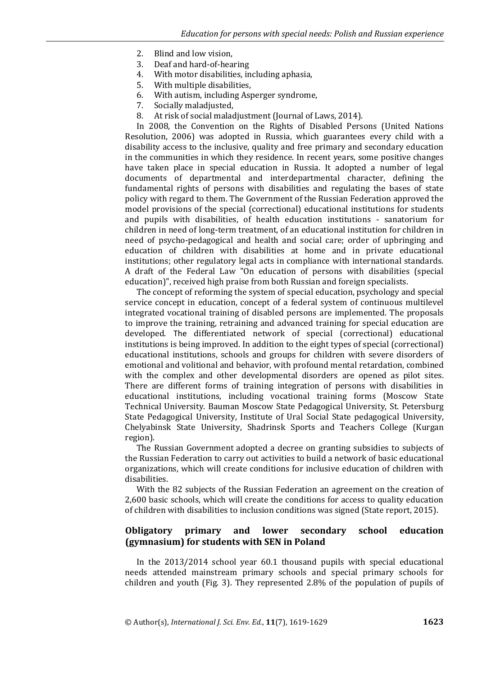- 2. Blind and low vision,
- 3. Deaf and hard-of-hearing
- 4. With motor disabilities, including aphasia,
- 5. With multiple disabilities,
- 6. With autism, including Asperger syndrome,
- 7. Socially maladjusted,
- 8. At risk of social maladjustment (Journal of Laws, 2014).

In 2008, the Convention on the Rights of Disabled Persons (United Nations Resolution, 2006) was adopted in Russia, which guarantees every child with a disability access to the inclusive, quality and free primary and secondary education in the communities in which they residence. In recent years, some positive changes have taken place in special education in Russia. It adopted a number of legal documents of departmental and interdepartmental character, defining the fundamental rights of persons with disabilities and regulating the bases of state policy with regard to them. The Government of the Russian Federation approved the model provisions of the special (correctional) educational institutions for students and pupils with disabilities, of health education institutions - sanatorium for children in need of long-term treatment, of an educational institution for children in need of psycho-pedagogical and health and social care; order of upbringing and education of children with disabilities at home and in private educational institutions; other regulatory legal acts in compliance with international standards. A draft of the Federal Law "On education of persons with disabilities (special education)", received high praise from both Russian and foreign specialists.

The concept of reforming the system of special education, psychology and special service concept in education, concept of a federal system of continuous multilevel integrated vocational training of disabled persons are implemented. The proposals to improve the training, retraining and advanced training for special education are developed. The differentiated network of special (correctional) educational institutions is being improved. In addition to the eight types of special (correctional) educational institutions, schools and groups for children with severe disorders of emotional and volitional and behavior, with profound mental retardation, combined with the complex and other developmental disorders are opened as pilot sites. There are different forms of training integration of persons with disabilities in educational institutions, including vocational training forms (Moscow State Technical University. Bauman Moscow State Pedagogical University, St. Petersburg State Pedagogical University, Institute of Ural Social State pedagogical University, Chelyabinsk State University, Shadrinsk Sports and Teachers College (Kurgan region).

The Russian Government adopted a decree on granting subsidies to subjects of the Russian Federation to carry out activities to build a network of basic educational organizations, which will create conditions for inclusive education of children with disabilities.

With the 82 subjects of the Russian Federation an agreement on the creation of 2,600 basic schools, which will create the conditions for access to quality education of children with disabilities to inclusion conditions was signed (State report, 2015).

## **Obligatory primary and lower secondary school education (gymnasium) for students with SEN in Poland**

In the 2013/2014 school year 60.1 thousand pupils with special educational needs attended mainstream primary schools and special primary schools for children and youth (Fig. 3). They represented 2.8% of the population of pupils of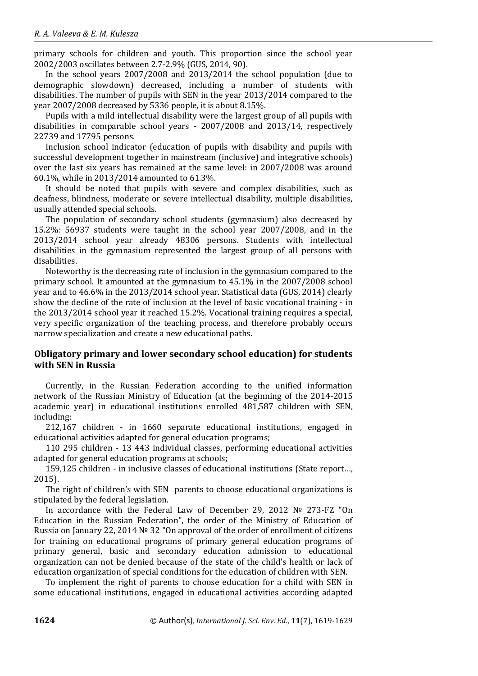primary schools for children and youth. This proportion since the school year 2002/2003 oscillates between 2.7-2.9% (GUS, 2014, 90).

In the school years 2007/2008 and 2013/2014 the school population (due to demographic slowdown) decreased, including a number of students with disabilities. The number of pupils with SEN in the year 2013/2014 compared to the year 2007/2008 decreased by 5336 people, it is about 8.15%.

Pupils with a mild intellectual disability were the largest group of all pupils with disabilities in comparable school years - 2007/2008 and 2013/14, respectively 22739 and 17795 persons.

Inclusion school indicator (education of pupils with disability and pupils with successful development together in mainstream (inclusive) and integrative schools) over the last six years has remained at the same level: in 2007/2008 was around 60.1%, while in 2013/2014 amounted to 61.3%.

It should be noted that pupils with severe and complex disabilities, such as deafness, blindness, moderate or severe intellectual disability, multiple disabilities, usually attended special schools.

The population of secondary school students (gymnasium) also decreased by 15.2%: 56937 students were taught in the school year 2007/2008, and in the 2013/2014 school year already 48306 persons. Students with intellectual disabilities in the gymnasium represented the largest group of all persons with disabilities.

Noteworthy is the decreasing rate of inclusion in the gymnasium compared to the primary school. It amounted at the gymnasium to 45.1% in the 2007/2008 school year and to 46.6% in the 2013/2014 school year. Statistical data (GUS, 2014) clearly show the decline of the rate of inclusion at the level of basic vocational training - in the 2013/2014 school year it reached 15.2%. Vocational training requires a special, very specific organization of the teaching process, and therefore probably occurs narrow specialization and create a new educational paths.

# **Obligatory primary and lower secondary school education) for students with SEN in Russia**

Currently, in the Russian Federation according to the unified information network of the Russian Ministry of Education (at the beginning of the 2014-2015 academic year) in educational institutions enrolled 481,587 children with SEN, including:

212,167 children - in 1660 separate educational institutions, engaged in educational activities adapted for general education programs;

110 295 children - 13 443 individual classes, performing educational activities adapted for general education programs at schools;

159,125 children - in inclusive classes of educational institutions (State report…, 2015).

The right of children's with SEN parents to choose educational organizations is stipulated by the federal legislation.

In accordance with the Federal Law of December 29, 2012 № 273-FZ "On Education in the Russian Federation", the order of the Ministry of Education of Russia on January 22, 2014 № 32 "On approval of the order of enrollment of citizens for training on educational programs of primary general education programs of primary general, basic and secondary education admission to educational organization can not be denied because of the state of the child's health or lack of education organization of special conditions for the education of children with SEN.

To implement the right of parents to choose education for a child with SEN in some educational institutions, engaged in educational activities according adapted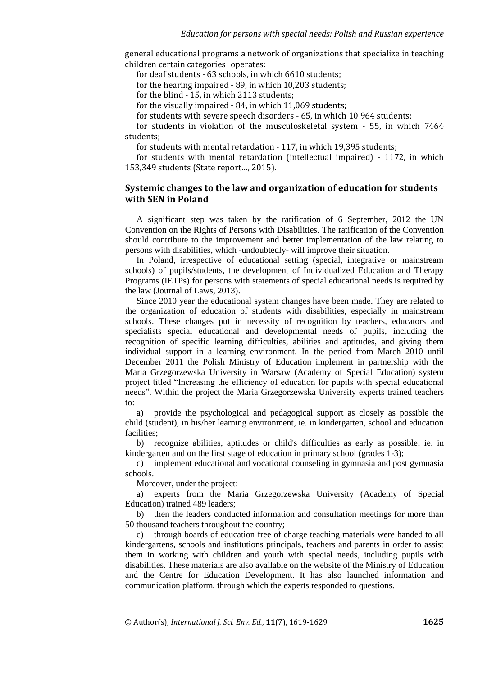general educational programs a network of organizations that specialize in teaching children certain categories operates:

for deaf students - 63 schools, in which 6610 students;

for the hearing impaired - 89, in which 10,203 students;

for the blind - 15, in which 2113 students;

for the visually impaired - 84, in which 11,069 students;

for students with severe speech disorders - 65, in which 10 964 students;

for students in violation of the musculoskeletal system - 55, in which 7464 students;

for students with mental retardation - 117, in which 19,395 students;

for students with mental retardation (intellectual impaired) - 1172, in which 153,349 students (State report…, 2015).

## **Systemic changes to the law and organization of education for students with SEN in Poland**

A significant step was taken by the ratification of 6 September, 2012 the UN Convention on the Rights of Persons with Disabilities. The ratification of the Convention should contribute to the improvement and better implementation of the law relating to persons with disabilities, which -undoubtedly- will improve their situation.

In Poland, irrespective of educational setting (special, integrative or mainstream schools) of pupils/students, the development of Individualized Education and Therapy Programs (IETPs) for persons with statements of special educational needs is required by the law (Journal of Laws, 2013).

Since 2010 year the educational system changes have been made. They are related to the organization of education of students with disabilities, especially in mainstream schools. These changes put in necessity of recognition by teachers, educators and specialists special educational and developmental needs of pupils, including the recognition of specific learning difficulties, abilities and aptitudes, and giving them individual support in a learning environment. In the period from March 2010 until December 2011 the Polish Ministry of Education implement in partnership with the Maria Grzegorzewska University in Warsaw (Academy of Special Education) system project titled "Increasing the efficiency of education for pupils with special educational needs". Within the project the Maria Grzegorzewska University experts trained teachers to:

a) provide the psychological and pedagogical support as closely as possible the child (student), in his/her learning environment, ie. in kindergarten, school and education facilities;

b) recognize abilities, aptitudes or child's difficulties as early as possible, ie. in kindergarten and on the first stage of education in primary school (grades 1-3);

c) implement educational and vocational counseling in gymnasia and post gymnasia schools.

Moreover, under the project:

a) experts from the Maria Grzegorzewska University (Academy of Special Education) trained 489 leaders;

b) then the leaders conducted information and consultation meetings for more than 50 thousand teachers throughout the country;

c) through boards of education free of charge teaching materials were handed to all kindergartens, schools and institutions principals, teachers and parents in order to assist them in working with children and youth with special needs, including pupils with disabilities. These materials are also available on the website of the Ministry of Education and the Centre for Education Development. It has also launched information and communication platform, through which the experts responded to questions.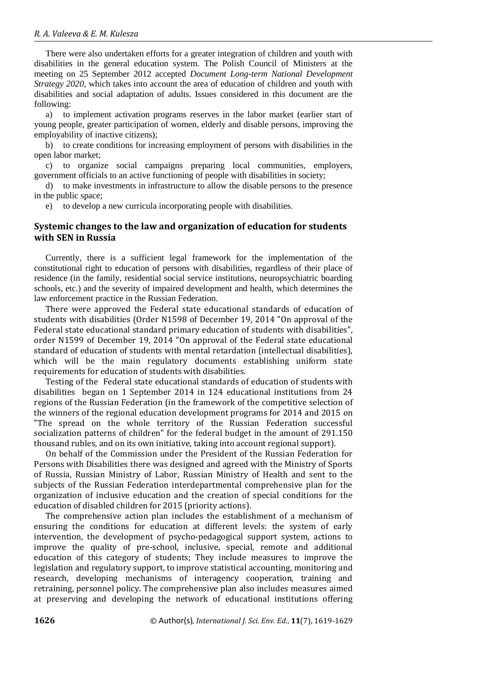There were also undertaken efforts for a greater integration of children and youth with disabilities in the general education system. The Polish Council of Ministers at the meeting on 25 September 2012 accepted *Document Long-term National Development Strategy 2020*, which takes into account the area of education of children and youth with disabilities and social adaptation of adults. Issues considered in this document are the following:

a) to implement activation programs reserves in the labor market (earlier start of young people, greater participation of women, elderly and disable persons, improving the employability of inactive citizens);

b) to create conditions for increasing employment of persons with disabilities in the open labor market;

c) to organize social campaigns preparing local communities, employers, government officials to an active functioning of people with disabilities in society;

d) to make investments in infrastructure to allow the disable persons to the presence in the public space;

e) to develop a new curricula incorporating people with disabilities.

#### **Systemic changes to the law and organization of education for students with SEN in Russia**

Currently, there is a sufficient legal framework for the implementation of the constitutional right to education of persons with disabilities, regardless of their place of residence (in the family, residential social service institutions, neuropsychiatric boarding schools, etc.) and the severity of impaired development and health, which determines the law enforcement practice in the Russian Federation.

There were approved the Federal state educational standards of education of students with disabilities (Order N1598 of December 19, 2014 "On approval of the Federal state educational standard primary education of students with disabilities", order N1599 of December 19, 2014 "On approval of the Federal state educational standard of education of students with mental retardation (intellectual disabilities), which will be the main regulatory documents establishing uniform state requirements for education of students with disabilities.

Testing of the Federal state educational standards of education of students with disabilities began on 1 September 2014 in 124 educational institutions from 24 regions of the Russian Federation (in the framework of the competitive selection of the winners of the regional education development programs for 2014 and 2015 on "The spread on the whole territory of the Russian Federation successful socialization patterns of children" for the federal budget in the amount of 291.150 thousand rubles, and on its own initiative, taking into account regional support).

On behalf of the Commission under the President of the Russian Federation for Persons with Disabilities there was designed and agreed with the Ministry of Sports of Russia, Russian Ministry of Labor, Russian Ministry of Health and sent to the subjects of the Russian Federation interdepartmental comprehensive plan for the organization of inclusive education and the creation of special conditions for the education of disabled children for 2015 (priority actions).

The comprehensive action plan includes the establishment of a mechanism of ensuring the conditions for education at different levels: the system of early intervention, the development of psycho-pedagogical support system, actions to improve the quality of pre-school, inclusive, special, remote and additional education of this category of students; They include measures to improve the legislation and regulatory support, to improve statistical accounting, monitoring and research, developing mechanisms of interagency cooperation, training and retraining, personnel policy. The comprehensive plan also includes measures aimed at preserving and developing the network of educational institutions offering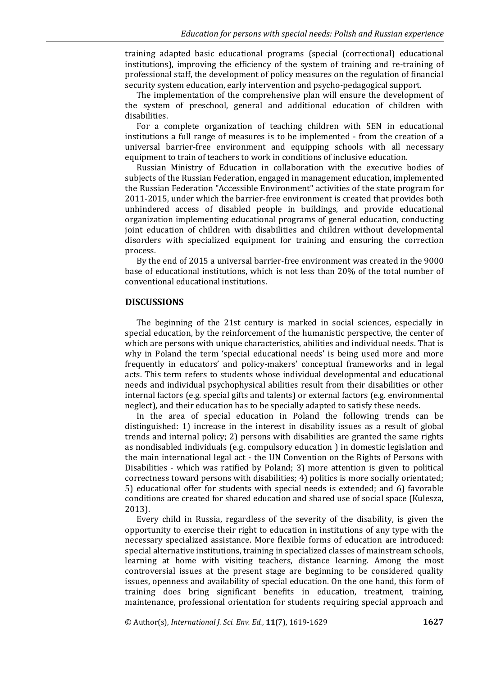training adapted basic educational programs (special (correctional) educational institutions), improving the efficiency of the system of training and re-training of professional staff, the development of policy measures on the regulation of financial security system education, early intervention and psycho-pedagogical support.

The implementation of the comprehensive plan will ensure the development of the system of preschool, general and additional education of children with disabilities.

For a complete organization of teaching children with SEN in educational institutions a full range of measures is to be implemented - from the creation of a universal barrier-free environment and equipping schools with all necessary equipment to train of teachers to work in conditions of inclusive education.

Russian Ministry of Education in collaboration with the executive bodies of subjects of the Russian Federation, engaged in management education, implemented the Russian Federation "Accessible Environment" activities of the state program for 2011-2015, under which the barrier-free environment is created that provides both unhindered access of disabled people in buildings, and provide educational organization implementing educational programs of general education, conducting joint education of children with disabilities and children without developmental disorders with specialized equipment for training and ensuring the correction process.

By the end of 2015 a universal barrier-free environment was created in the 9000 base of educational institutions, which is not less than 20% of the total number of conventional educational institutions.

#### **DISCUSSIONS**

The beginning of the 21st century is marked in social sciences, especially in special education, by the reinforcement of the humanistic perspective, the center of which are persons with unique characteristics, abilities and individual needs. That is why in Poland the term 'special educational needs' is being used more and more frequently in educators' and policy-makers' conceptual frameworks and in legal acts. This term refers to students whose individual developmental and educational needs and individual psychophysical abilities result from their disabilities or other internal factors (e.g. special gifts and talents) or external factors (e.g. environmental neglect), and their education has to be specially adapted to satisfy these needs.

In the area of special education in Poland the following trends can be distinguished: 1) increase in the interest in disability issues as a result of global trends and internal policy; 2) persons with disabilities are granted the same rights as nondisabled individuals (e.g. compulsory education ) in domestic legislation and the main international legal act - the UN Convention on the Rights of Persons with Disabilities - which was ratified by Poland; 3) more attention is given to political correctness toward persons with disabilities; 4) politics is more socially orientated; 5) educational offer for students with special needs is extended; and 6) favorable conditions are created for shared education and shared use of social space (Kulesza, 2013).

Every child in Russia, regardless of the severity of the disability, is given the opportunity to exercise their right to education in institutions of any type with the necessary specialized assistance. More flexible forms of education are introduced: special alternative institutions, training in specialized classes of mainstream schools, learning at home with visiting teachers, distance learning. Among the most controversial issues at the present stage are beginning to be considered quality issues, openness and availability of special education. On the one hand, this form of training does bring significant benefits in education, treatment, training, maintenance, professional orientation for students requiring special approach and

© Author(s), *International J. Sci. Env. Ed.*, **11**(7), 1619-1629 **1627**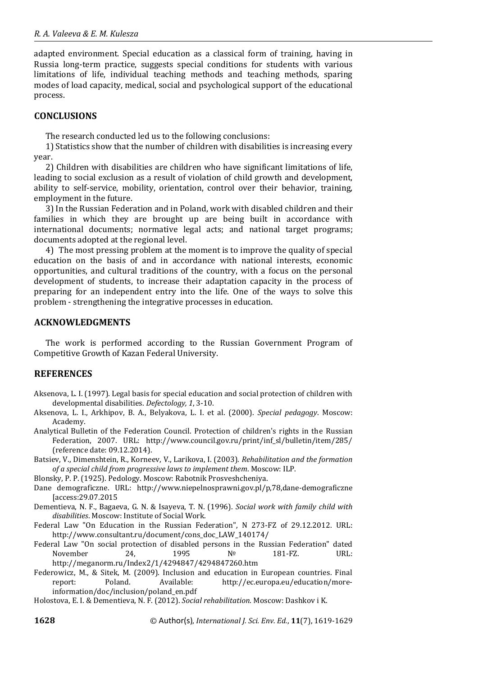adapted environment. Special education as a classical form of training, having in Russia long-term practice, suggests special conditions for students with various limitations of life, individual teaching methods and teaching methods, sparing modes of load capacity, medical, social and psychological support of the educational process.

## **CONCLUSIONS**

The research conducted led us to the following conclusions:

1) Statistics show that the number of children with disabilities is increasing every year.

2) Children with disabilities are children who have significant limitations of life, leading to social exclusion as a result of violation of child growth and development, ability to self-service, mobility, orientation, control over their behavior, training, employment in the future.

3) In the Russian Federation and in Poland, work with disabled children and their families in which they are brought up are being built in accordance with international documents; normative legal acts; and national target programs; documents adopted at the regional level.

4) The most pressing problem at the moment is to improve the quality of special education on the basis of and in accordance with national interests, economic opportunities, and cultural traditions of the country, with a focus on the personal development of students, to increase their adaptation capacity in the process of preparing for an independent entry into the life. One of the ways to solve this problem - strengthening the integrative processes in education.

# **ACKNOWLEDGMENTS**

The work is performed according to the Russian Government Program of Competitive Growth of Kazan Federal University.

# **REFERENCES**

- Aksenova, L. I. (1997). Legal basis for special education and social protection of children with developmental disabilities. *Defectology, 1*, 3-10.
- Aksenova, L. I., Arkhipov, B. A., Belyakova, L. I. et al. (2000). *Special pedagogy*. Moscow: Academy.
- Analytical Bulletin of the Federation Council. Protection of children's rights in the Russian Federation, 2007. URL: http://www.council.gov.ru/print/inf\_sl/bulletin/item/285/ (reference date: 09.12.2014).
- Batsiev, V., Dimenshtein, R., Korneev, V., Larikova, I. (2003). *Rehabilitation and the formation of a special child from progressive laws to implement them*. Moscow: ILP.

Blonsky, P. P. (1925). Pedology. Moscow: Rabotnik Prosveshcheniya.

- Dane demograficzne. URL: http://www.niepelnosprawni.gov.pl/p,78,dane-demograficzne [access:29.07.2015
- Dementieva, N. F., Bagaeva, G. N. & Isayeva, T. N. (1996). *Social work with family child with disabilities*. Moscow: Institute of Social Work.
- Federal Law "On Education in the Russian Federation", N 273-FZ of 29.12.2012. URL: http://www.consultant.ru/document/cons\_doc\_LAW\_140174/

Federal Law "On social protection of disabled persons in the Russian Federation" dated November 24, 1995 № 181-FZ. URL: http://meganorm.ru/Index2/1/4294847/4294847260.htm

Federowicz, M., & Sitek, M. (2009). Inclusion and education in European countries. Final report: Poland. Available: http://ec.europa.eu/education/moreinformation/doc/inclusion/poland\_en.pdf

Holostova, E. I. & Dementieva, N. F. (2012). *Social rehabilitation*. Moscow: Dashkov i K.